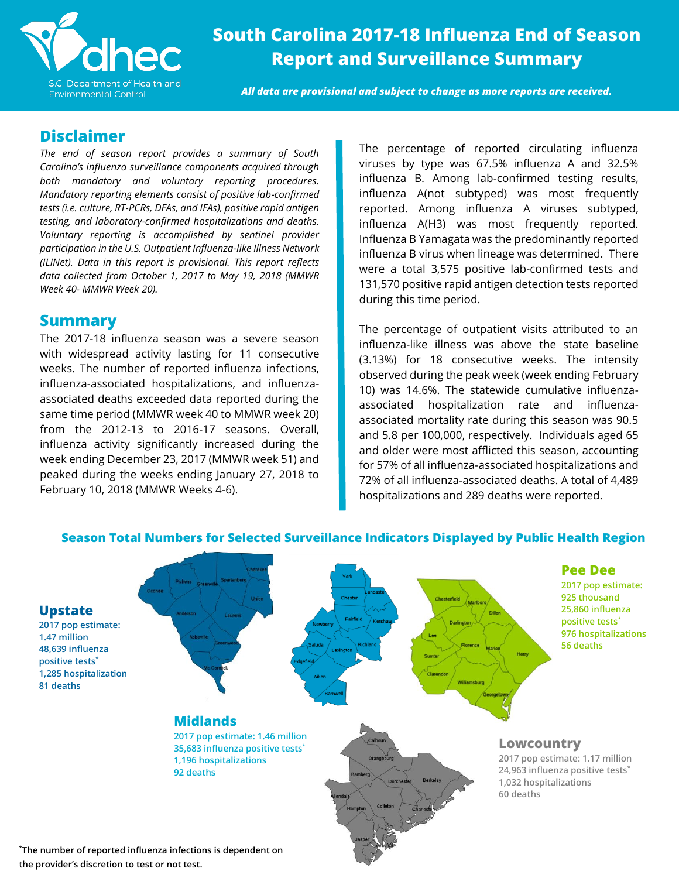

**South Carolina 2017-18 Influenza End of Season Report and Surveillance Summary**

*All data are provisional and subject to change as more reports are received.* 

### **Disclaimer**

*The end of season report provides a summary of South Carolina's influenza surveillance components acquired through both mandatory and voluntary reporting procedures. Mandatory reporting elements consist of positive lab-confirmed tests (i.e. culture, RT-PCRs, DFAs, and IFAs), positive rapid antigen testing, and laboratory-confirmed hospitalizations and deaths. Voluntary reporting is accomplished by sentinel provider participation in the U.S. Outpatient Influenza-like Illness Network (ILINet). Data in this report is provisional. This report reflects data collected from October 1, 2017 to May 19, 2018 (MMWR Week 40- MMWR Week 20).*

### **Summary**

The 2017-18 influenza season was a severe season with widespread activity lasting for 11 consecutive weeks. The number of reported influenza infections, influenza-associated hospitalizations, and influenzaassociated deaths exceeded data reported during the same time period (MMWR week 40 to MMWR week 20) from the 2012-13 to 2016-17 seasons. Overall, influenza activity significantly increased during the week ending December 23, 2017 (MMWR week 51) and peaked during the weeks ending January 27, 2018 to February 10, 2018 (MMWR Weeks 4-6).

The percentage of reported circulating influenza viruses by type was 67.5% influenza A and 32.5% influenza B. Among lab-confirmed testing results, influenza A(not subtyped) was most frequently reported. Among influenza A viruses subtyped, influenza A(H3) was most frequently reported. Influenza B Yamagata was the predominantly reported influenza B virus when lineage was determined. There were a total 3,575 positive lab-confirmed tests and 131,570 positive rapid antigen detection tests reported during this time period.

The percentage of outpatient visits attributed to an influenza-like illness was above the state baseline (3.13%) for 18 consecutive weeks. The intensity observed during the peak week (week ending February 10) was 14.6%. The statewide cumulative influenzaassociated hospitalization rate and influenzaassociated mortality rate during this season was 90.5 and 5.8 per 100,000, respectively. Individuals aged 65 and older were most afflicted this season, accounting for 57% of all influenza-associated hospitalizations and 72% of all influenza-associated deaths. A total of 4,489 hospitalizations and 289 deaths were reported.



### **Season Total Numbers for Selected Surveillance Indicators Displayed by Public Health Region**

**\*The number of reported influenza infections is dependent on the provider's discretion to test or not test.**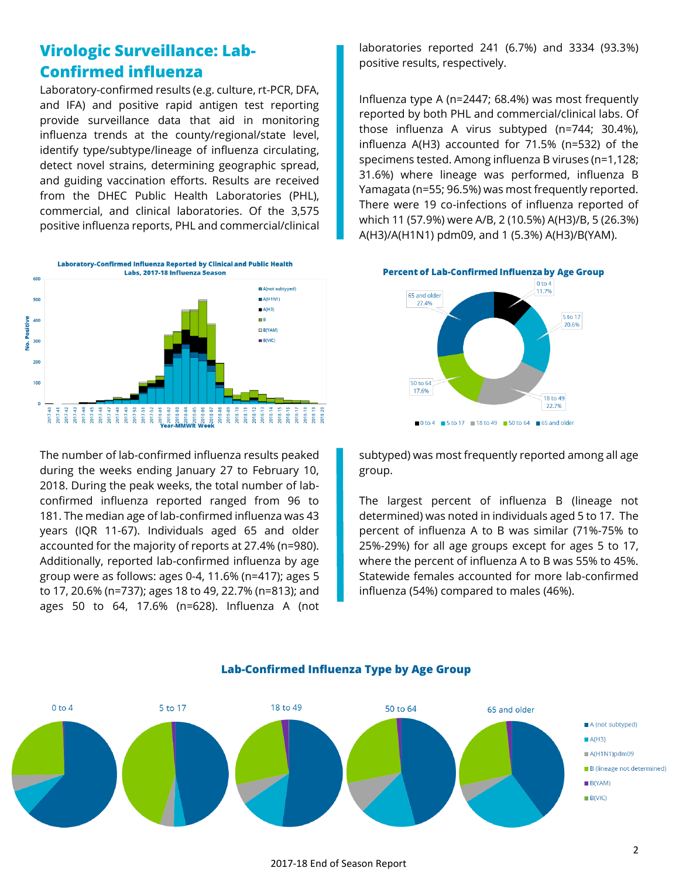## **Virologic Surveillance: Lab-Confirmed influenza**

Laboratory-confirmed results (e.g. culture, rt-PCR, DFA, and IFA) and positive rapid antigen test reporting provide surveillance data that aid in monitoring influenza trends at the county/regional/state level, identify type/subtype/lineage of influenza circulating, detect novel strains, determining geographic spread, and guiding vaccination efforts. Results are received from the DHEC Public Health Laboratories (PHL), commercial, and clinical laboratories. Of the 3,575 positive influenza reports, PHL and commercial/clinical



The number of lab-confirmed influenza results peaked during the weeks ending January 27 to February 10, 2018. During the peak weeks, the total number of labconfirmed influenza reported ranged from 96 to 181. The median age of lab-confirmed influenza was 43 years (IQR 11-67). Individuals aged 65 and older accounted for the majority of reports at 27.4% (n=980). Additionally, reported lab-confirmed influenza by age group were as follows: ages 0-4, 11.6% (n=417); ages 5 to 17, 20.6% (n=737); ages 18 to 49, 22.7% (n=813); and ages 50 to 64, 17.6% (n=628). Influenza A (not laboratories reported 241 (6.7%) and 3334 (93.3%) positive results, respectively.

Influenza type A (n=2447; 68.4%) was most frequently reported by both PHL and commercial/clinical labs. Of those influenza A virus subtyped (n=744; 30.4%), influenza A(H3) accounted for 71.5% (n=532) of the specimens tested. Among influenza B viruses (n=1,128; 31.6%) where lineage was performed, influenza B Yamagata (n=55; 96.5%) was most frequently reported. There were 19 co-infections of influenza reported of which 11 (57.9%) were A/B, 2 (10.5%) A(H3)/B, 5 (26.3%) A(H3)/A(H1N1) pdm09, and 1 (5.3%) A(H3)/B(YAM).



subtyped) was most frequently reported among all age group.

The largest percent of influenza B (lineage not determined) was noted in individuals aged 5 to 17. The percent of influenza A to B was similar (71%-75% to 25%-29%) for all age groups except for ages 5 to 17, where the percent of influenza A to B was 55% to 45%. Statewide females accounted for more lab-confirmed influenza (54%) compared to males (46%).



#### **Lab-Confirmed Influenza Type by Age Group**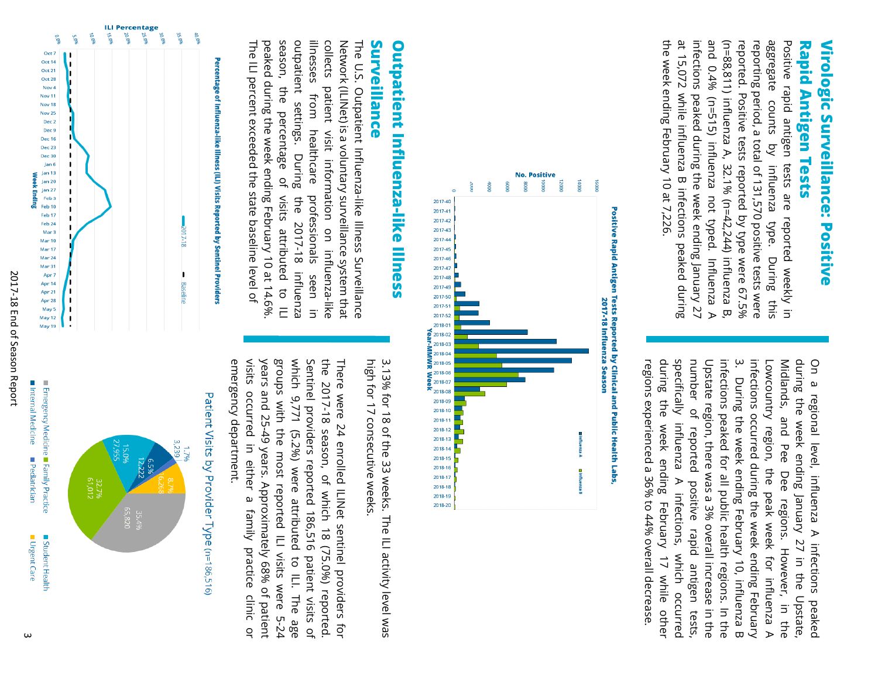## **Rapid Antigen Tests Rapid Antigen Tests**  Virologic Surveillance: Positive **Virologic Surveillance: Positive**

the week ending February 10 at 7,226 at 15,072 while influenza B infections peaked during infections peaked during the week ending January 27 and 0.4% (n=515) influenza not typed. Influenza A (n=88,811) influenza A, 32.1% (n=42,244) influenza B, aggregate Positive rapid antigen tests are reported weekly in the week ending February 10 at 7,226. at 15,072 while influenza B infections peaked during infections peaked during the week ending January 27 and 0.4% (n=515) influenza not typed. Influenza A (n=88,811) influenza A, 32.1% (n=42,244) influenza B, reported. Positive tests reported by type were 67.5% reported. Positive tests reported by type were 67.5% reporting period, a total of 131,570 positive tests were reporting period, a total of 131,570 positive tests were aggregate counts by influenza type. During this Positive rapid antigen tests are reported weekly in counts by influenza type. During this

specifically influenza A infections, which ب regions experienced a 36% to 44% overall decrease. regions experienced a 36% to 44% overall decrease. during the week ending February 17 while other during the week ending February 17 while other specifically influenza A infections, which occurred number of reported positive rapid antigen number of reported positive rapid antigen tests Upstate region, there was a 3% overall increase in the Upstate region, there was a 3% overall increase in the infections peaked for all public health regions. In the infections peaked for all public health regions. In the infections occurred during the week ending February infections occurred during the week ending February Lowcountry region, Lowcountry region, the peak week for influenza A Midlands, and Pee Dee regions. Midlands, and Pee Dee regions. However, in the during the week ending January 27 in the Upstate, during the week ending January 27 in the Upstate, On a regional level, influenza A infections peaked On a regional level, influenza A infections peaked . During the week ending February 10, influenza B During the week ending February 10, influenza B the peak week for influenza A However, in the occurred tests,



# Surveillance **Surveillance Outpatient Influenza-like Illness Outpatient Influenza-like Illness**

peaked during the week ending February 10 at 14.6% season, outpatient settings. illnesses Network (ILINet) is a voluntary surveillance system that The U.S. Outpatient Influenza-like Illness Surveillance The ILI percent exceeded the state baseline level of The ILI percent exceeded the state baseline level of peaked during the week ending February 10 at 14.6%. season, the percentage of visits attributed to ILI outpatient settings. During the 2017-18 influenza illnesses from healthcare professionals seen in collects collects patient visit information on influenza-like Network (ILINet) is a voluntary surveillance system that The U.S. Outpatient Influenza-like Illness Surveillance the percentage patient from healthcare visit information on influenza-like . During of visits attributed to ILI  $\frac{1}{2}$ professionals 2017-18 influenza seen in



high for 17 consecutive weeks. high for 17 consecutive weeks. 3.13% for 18 of the 33 weeks. The ILI activity level was 3.13% for 18 of the 33 weeks. The ILI activity level was

groups with the most reported ILI visits were 5-24 Sentinel providers reported 186,516 the 2017-18 season, of which 18 (75.0%) reported. emergency department. emergency department. visits occurred in either a visits occurred in either a family practice clinic or years and 25-49 years. Approximately 68% of patient years and 25-49 years. Approximately 68% of patient groups with the most reported ILI visits were 5-24 which 9,771 (5.2%) were attributed to ILI. The age which 9,771 (5.2%) were attributed to ILI. The age Sentinel providers reported 186,516 patient visits of There were 24 enrolled ILINet sentinel providers for There sere 24 enrolled ILNet sentinel providers for 18 season, of which 18 (75.0%) reported. family practice clinic or patient visits of



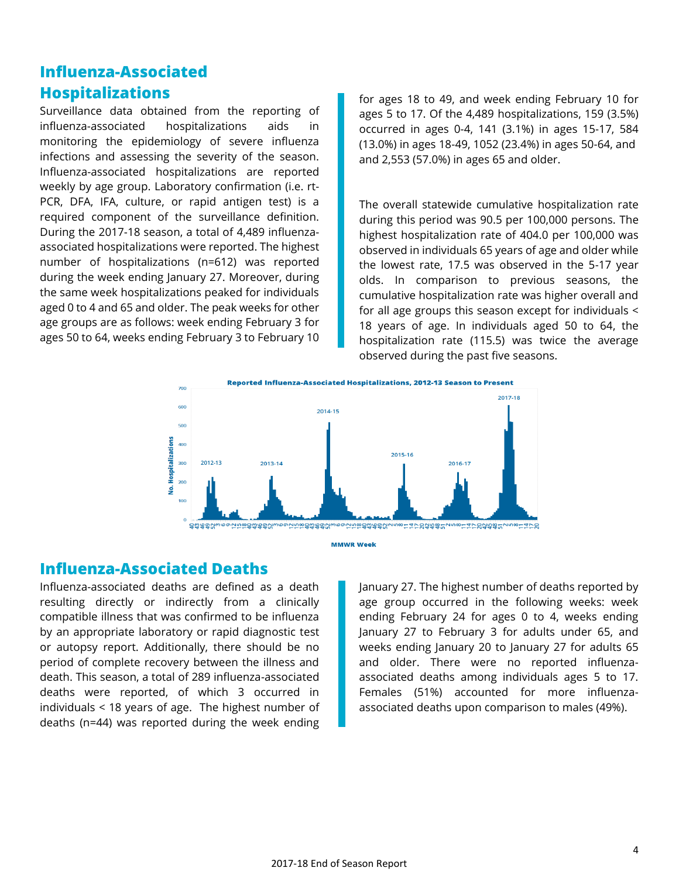## **Influenza-Associated Hospitalizations**

Surveillance data obtained from the reporting of influenza-associated hospitalizations aids in monitoring the epidemiology of severe influenza infections and assessing the severity of the season. Influenza-associated hospitalizations are reported weekly by age group. Laboratory confirmation (i.e. rt-PCR, DFA, IFA, culture, or rapid antigen test) is a required component of the surveillance definition. During the 2017-18 season, a total of 4,489 influenzaassociated hospitalizations were reported. The highest number of hospitalizations (n=612) was reported during the week ending January 27. Moreover, during the same week hospitalizations peaked for individuals aged 0 to 4 and 65 and older. The peak weeks for other age groups are as follows: week ending February 3 for ages 50 to 64, weeks ending February 3 to February 10

for ages 18 to 49, and week ending February 10 for ages 5 to 17. Of the 4,489 hospitalizations, 159 (3.5%) occurred in ages 0-4, 141 (3.1%) in ages 15-17, 584 (13.0%) in ages 18-49, 1052 (23.4%) in ages 50-64, and and 2,553 (57.0%) in ages 65 and older.

The overall statewide cumulative hospitalization rate during this period was 90.5 per 100,000 persons. The highest hospitalization rate of 404.0 per 100,000 was observed in individuals 65 years of age and older while the lowest rate, 17.5 was observed in the 5-17 year olds. In comparison to previous seasons, the cumulative hospitalization rate was higher overall and for all age groups this season except for individuals < 18 years of age. In individuals aged 50 to 64, the hospitalization rate (115.5) was twice the average observed during the past five seasons.





### **Influenza-Associated Deaths**

Influenza-associated deaths are defined as a death resulting directly or indirectly from a clinically compatible illness that was confirmed to be influenza by an appropriate laboratory or rapid diagnostic test or autopsy report. Additionally, there should be no period of complete recovery between the illness and death. This season, a total of 289 influenza-associated deaths were reported, of which 3 occurred in individuals < 18 years of age. The highest number of deaths (n=44) was reported during the week ending

January 27. The highest number of deaths reported by age group occurred in the following weeks: week ending February 24 for ages 0 to 4, weeks ending January 27 to February 3 for adults under 65, and weeks ending January 20 to January 27 for adults 65 and older. There were no reported influenzaassociated deaths among individuals ages 5 to 17. Females (51%) accounted for more influenzaassociated deaths upon comparison to males (49%).